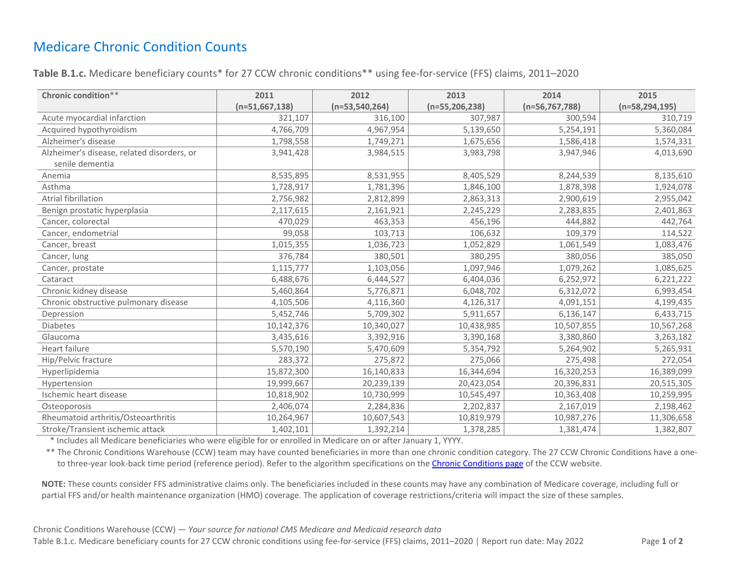## Medicare Chronic Condition Counts

**Table B.1.c.** Medicare beneficiary counts\* for 27 CCW chronic conditions\*\* using fee-for-service (FFS) claims, 2011–2020

| Chronic condition**                        | 2011             | 2012               | 2013               | 2014             | 2015               |
|--------------------------------------------|------------------|--------------------|--------------------|------------------|--------------------|
|                                            | $(n=51,667,138)$ | $(n=53, 540, 264)$ | $(n=55, 206, 238)$ | $(n=56,767,788)$ | $(n=58, 294, 195)$ |
| Acute myocardial infarction                | 321,107          | 316,100            | 307,987            | 300,594          | 310,719            |
| Acquired hypothyroidism                    | 4,766,709        | 4,967,954          | 5,139,650          | 5,254,191        | 5,360,084          |
| Alzheimer's disease                        | 1,798,558        | 1,749,271          | 1,675,656          | 1,586,418        | 1,574,331          |
| Alzheimer's disease, related disorders, or | 3,941,428        | 3,984,515          | 3,983,798          | 3,947,946        | 4,013,690          |
| senile dementia                            |                  |                    |                    |                  |                    |
| Anemia                                     | 8,535,895        | 8,531,955          | 8,405,529          | 8,244,539        | 8,135,610          |
| Asthma                                     | 1,728,917        | 1,781,396          | 1,846,100          | 1,878,398        | 1,924,078          |
| Atrial fibrillation                        | 2,756,982        | 2,812,899          | 2,863,313          | 2,900,619        | 2,955,042          |
| Benign prostatic hyperplasia               | 2,117,615        | 2,161,921          | 2,245,229          | 2,283,835        | 2,401,863          |
| Cancer, colorectal                         | 470,029          | 463,353            | 456,196            | 444,882          | 442,764            |
| Cancer, endometrial                        | 99,058           | 103,713            | 106,632            | 109,379          | 114,522            |
| Cancer, breast                             | 1,015,355        | 1,036,723          | 1,052,829          | 1,061,549        | 1,083,476          |
| Cancer, lung                               | 376,784          | 380,501            | 380,295            | 380,056          | 385,050            |
| Cancer, prostate                           | 1,115,777        | 1,103,056          | 1,097,946          | 1,079,262        | 1,085,625          |
| Cataract                                   | 6,488,676        | 6,444,527          | 6,404,036          | 6,252,972        | 6,221,222          |
| Chronic kidney disease                     | 5,460,864        | 5,776,871          | 6,048,702          | 6,312,072        | 6,993,454          |
| Chronic obstructive pulmonary disease      | 4,105,506        | 4,116,360          | 4,126,317          | 4,091,151        | 4,199,435          |
| Depression                                 | 5,452,746        | 5,709,302          | 5,911,657          | 6,136,147        | 6,433,715          |
| Diabetes                                   | 10,142,376       | 10,340,027         | 10,438,985         | 10,507,855       | 10,567,268         |
| Glaucoma                                   | 3,435,616        | 3,392,916          | 3,390,168          | 3,380,860        | 3,263,182          |
| Heart failure                              | 5,570,190        | 5,470,609          | 5,354,792          | 5,264,902        | 5,265,931          |
| Hip/Pelvic fracture                        | 283,372          | 275,872            | 275,066            | 275,498          | 272,054            |
| Hyperlipidemia                             | 15,872,300       | 16,140,833         | 16,344,694         | 16,320,253       | 16,389,099         |
| Hypertension                               | 19,999,667       | 20,239,139         | 20,423,054         | 20,396,831       | 20,515,305         |
| Ischemic heart disease                     | 10,818,902       | 10,730,999         | 10,545,497         | 10,363,408       | 10,259,995         |
| Osteoporosis                               | 2,406,074        | 2,284,836          | 2,202,837          | 2,167,019        | 2,198,462          |
| Rheumatoid arthritis/Osteoarthritis        | 10,264,967       | 10,607,543         | 10,819,979         | 10,987,276       | 11,306,658         |
| Stroke/Transient ischemic attack           | 1,402,101        | 1,392,214          | 1,378,285          | 1,381,474        | 1,382,807          |

\* Includes all Medicare beneficiaries who were eligible for or enrolled in Medicare on or after January 1, YYYY.

\*\* The Chronic Conditions Warehouse (CCW) team may have counted beneficiaries in more than one chronic condition category. The 27 CCW Chronic Conditions have a one-to three-year look-back time period (reference period). Refer to the algorithm specifications on the [Chronic Conditions page](https://www2.ccwdata.org/web/guest/condition-categories-chronic) of the CCW website.

**NOTE:** These counts consider FFS administrative claims only. The beneficiaries included in these counts may have any combination of Medicare coverage, including full or partial FFS and/or health maintenance organization (HMO) coverage. The application of coverage restrictions/criteria will impact the size of these samples.